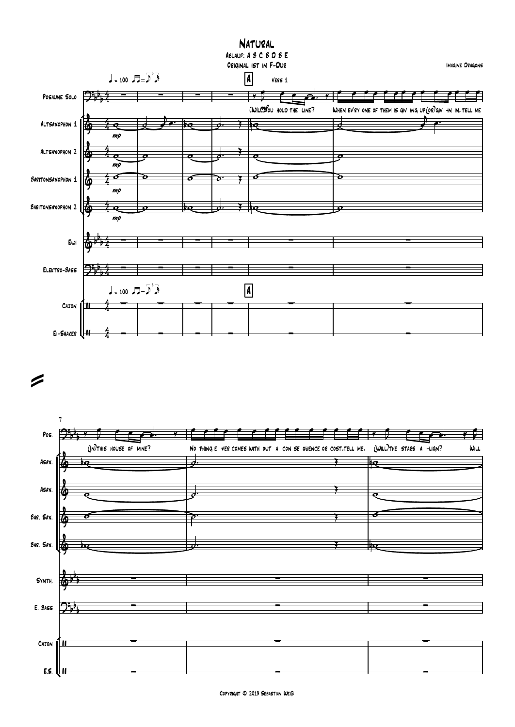

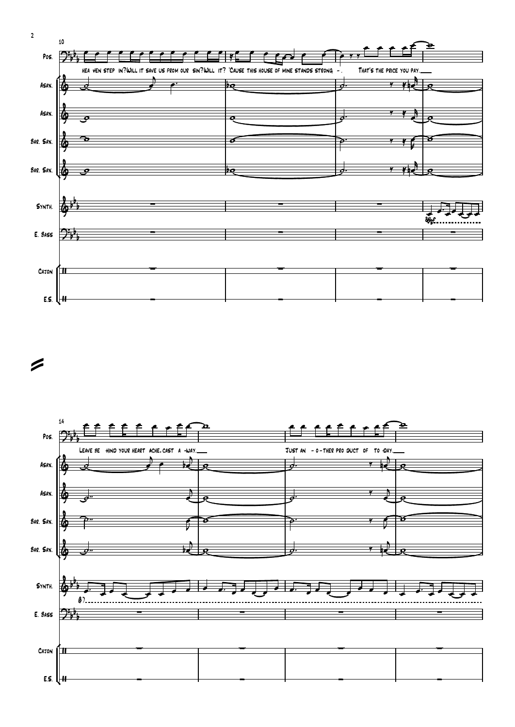



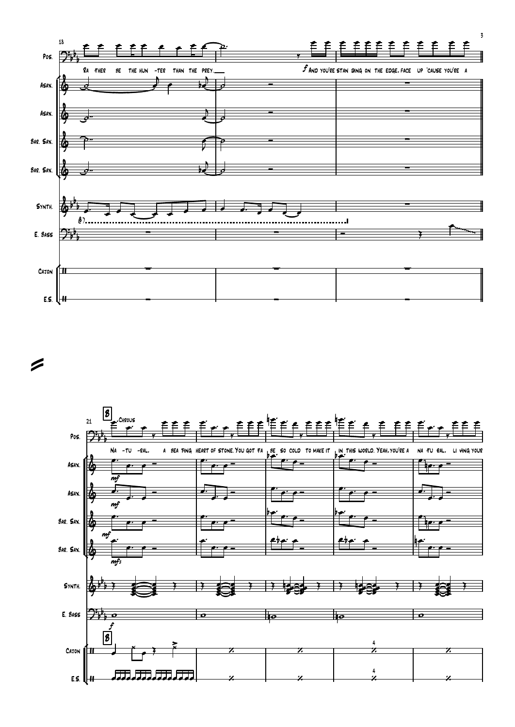



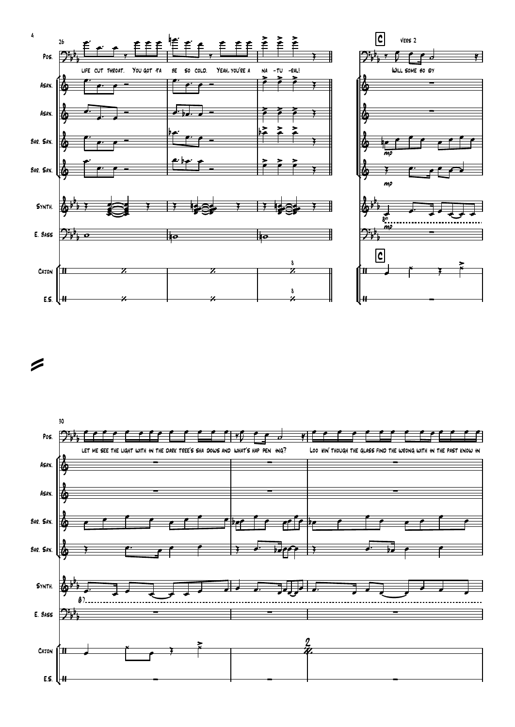

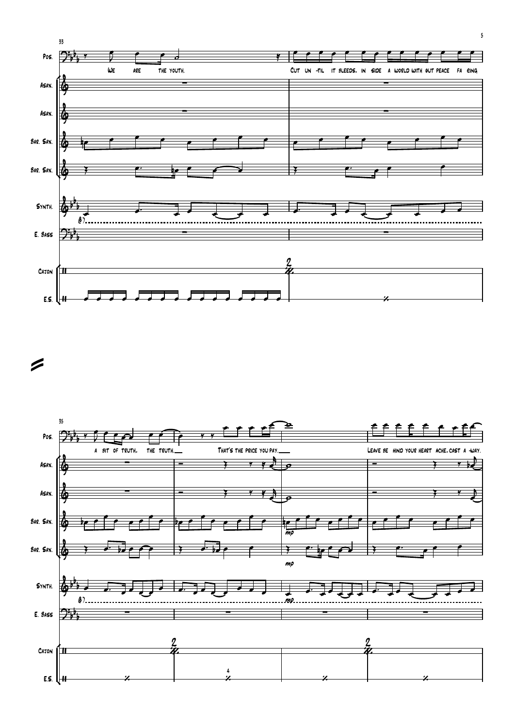

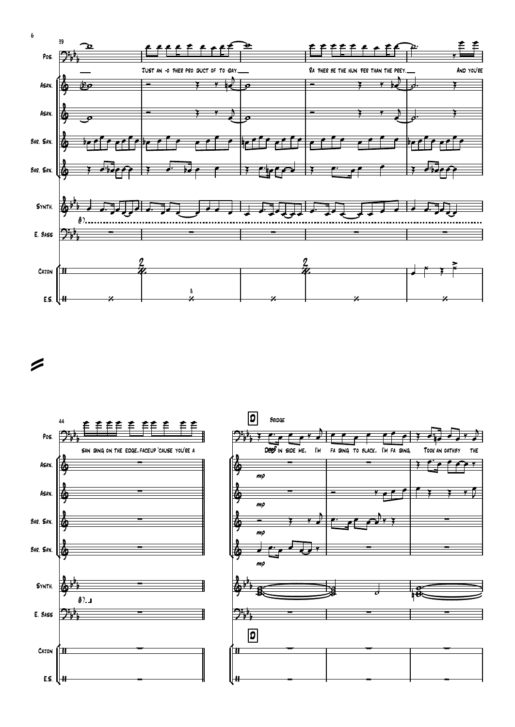





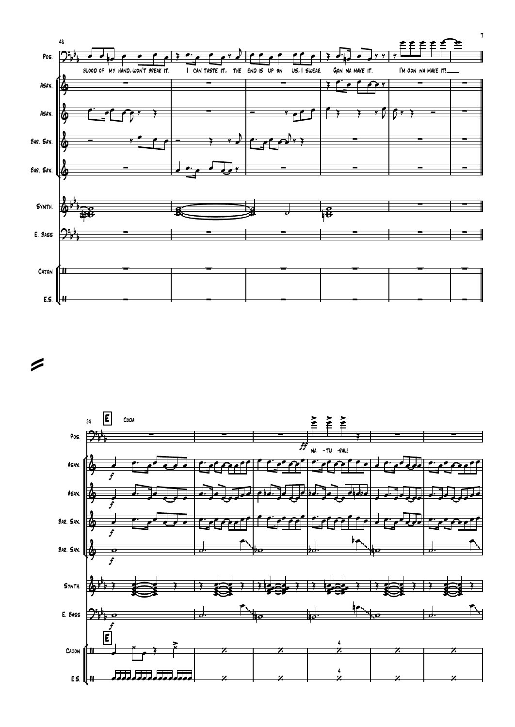

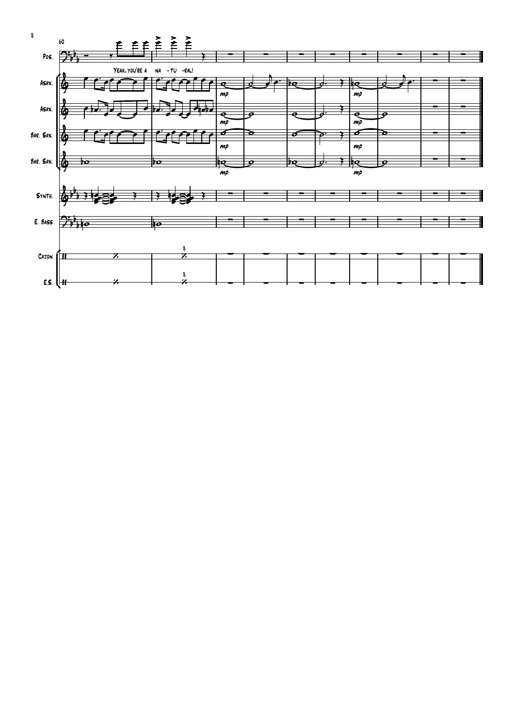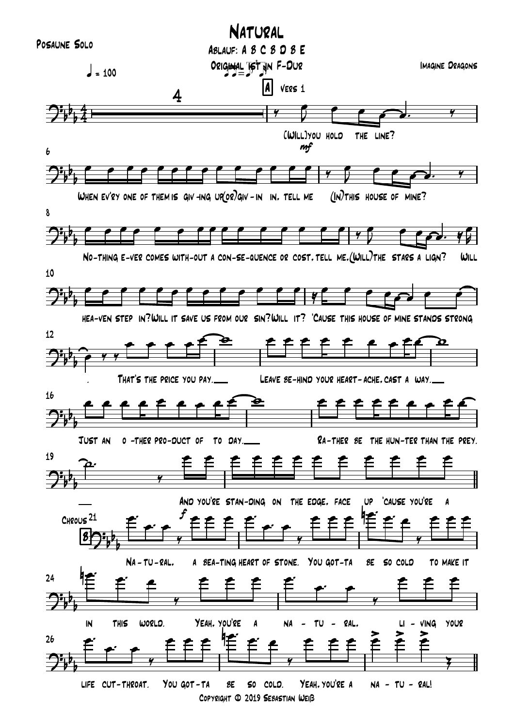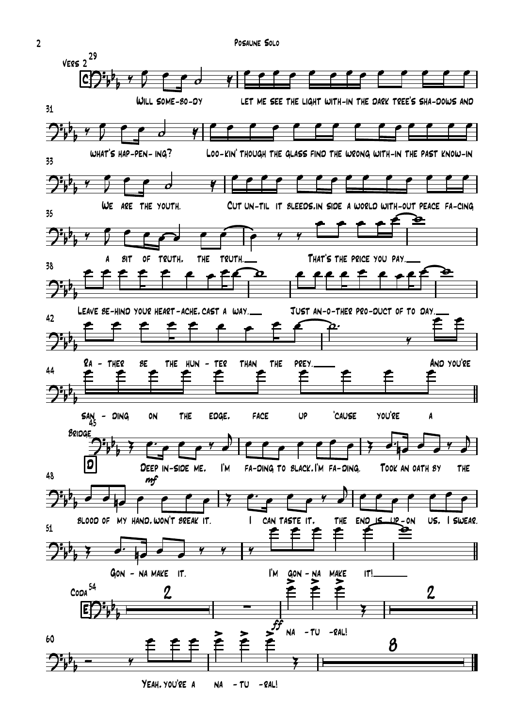

 $\mathbf{e}$ 

 $\mathbf{r}$   $\mathbf{r}$ 



Yeah,you're a na -tu -ral!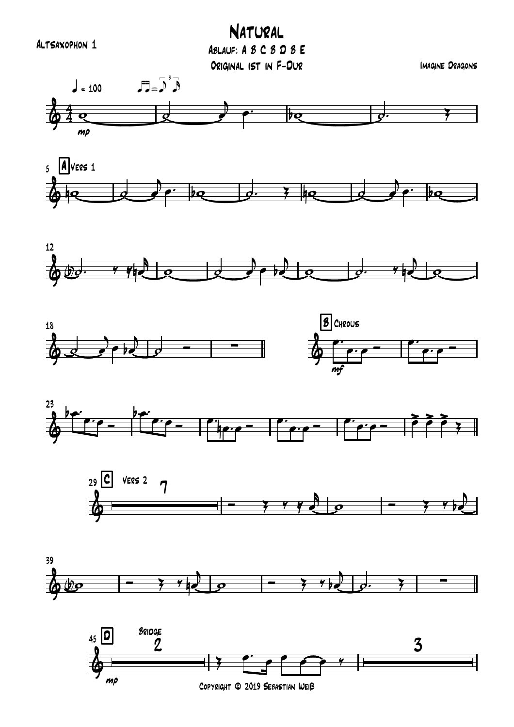Altsaxophon 1

**NATURAL** Ablauf: A B C B D B E

















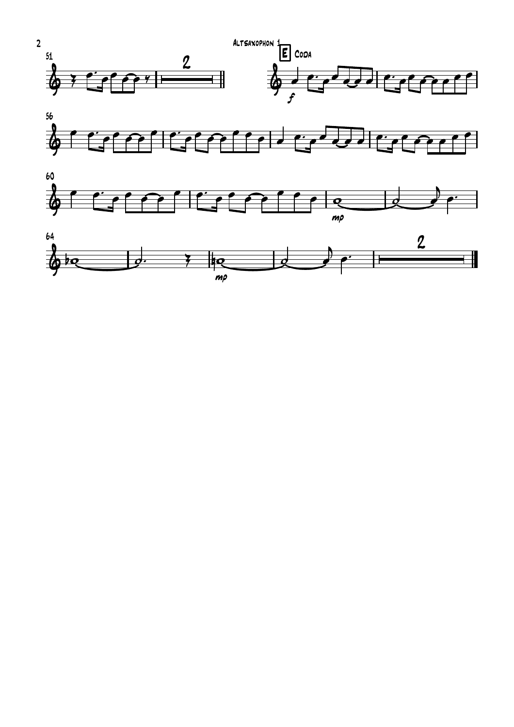





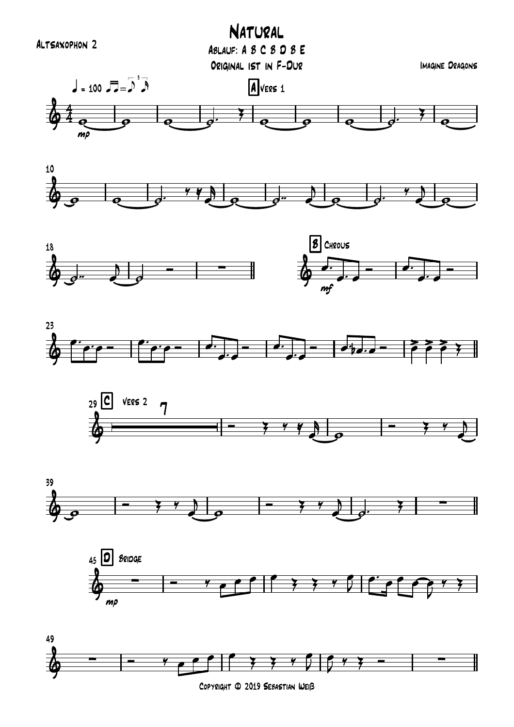## **NATURAL** Ablauf: A B C B D B E Original ist in F-Dur

Imagine Dragons















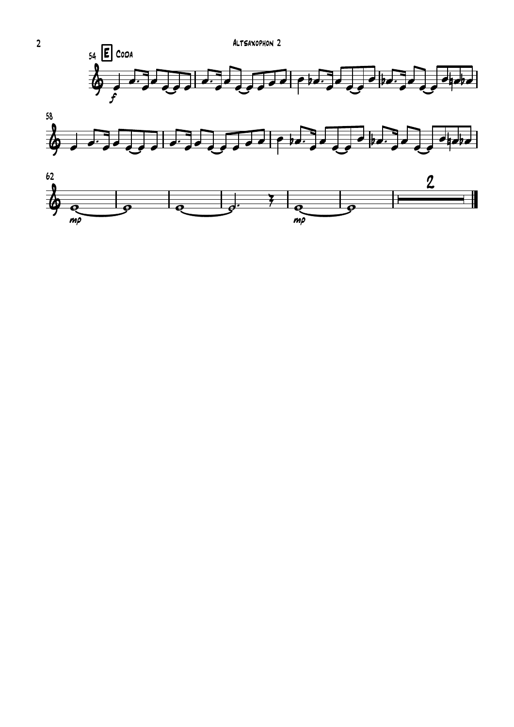

mp mp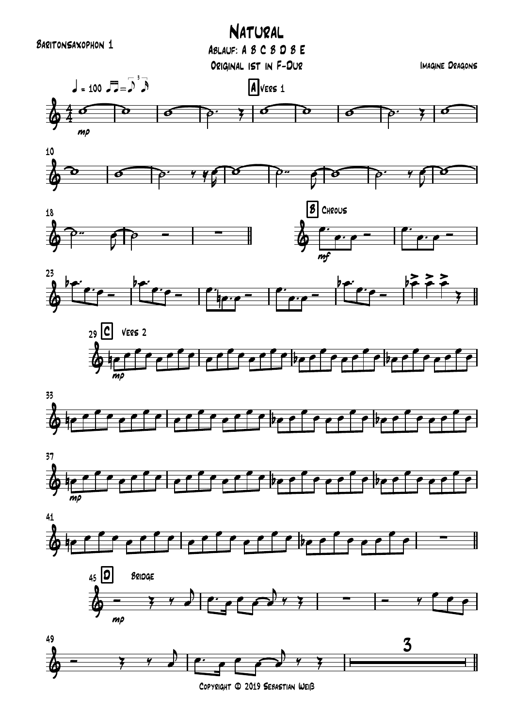## **NATURAL** Ablauf: A B C B D B E Original ist in F-Dur

Imagine Dragons



















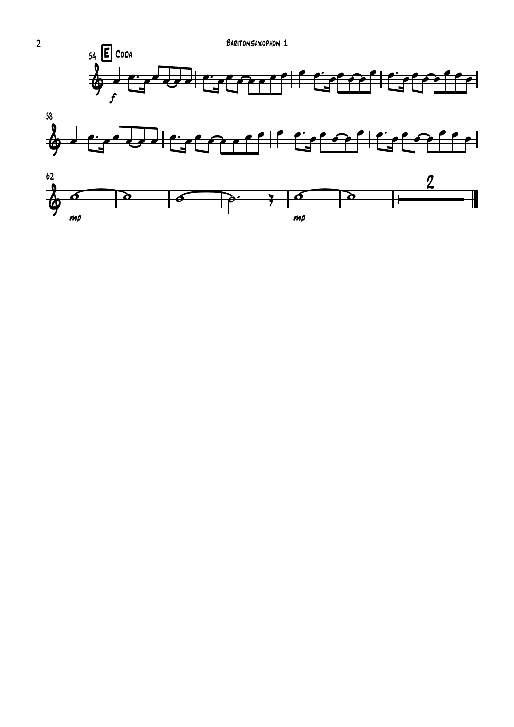

mp mp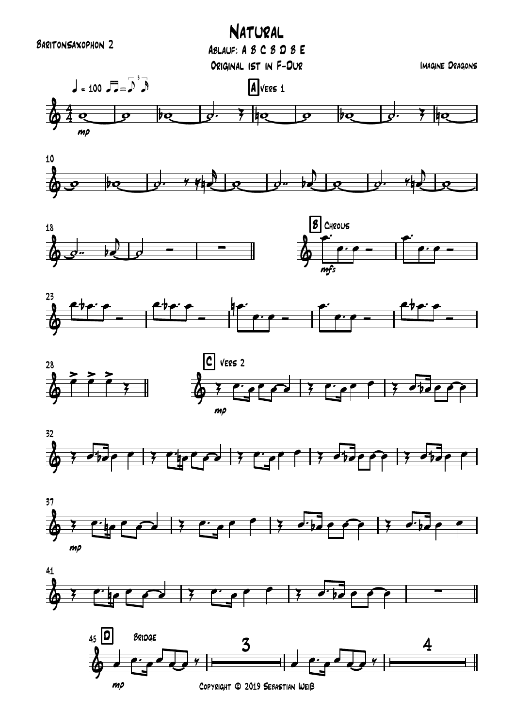## **NATURAL** Ablauf: A B C B D B E Original ist in F-Dur

Imagine Dragons

















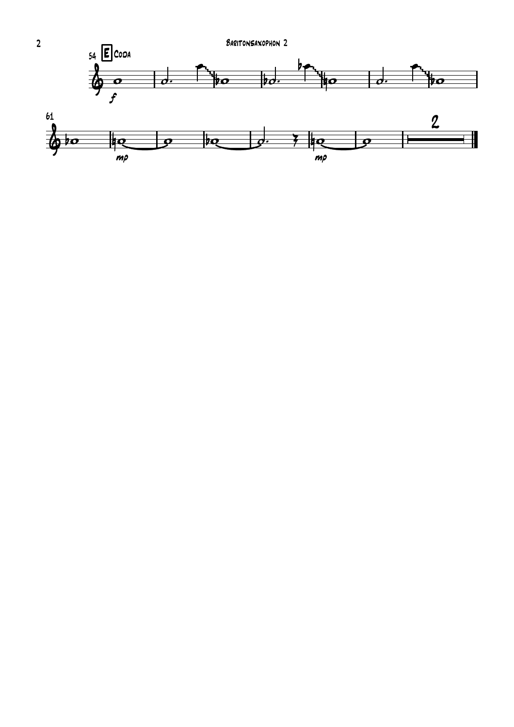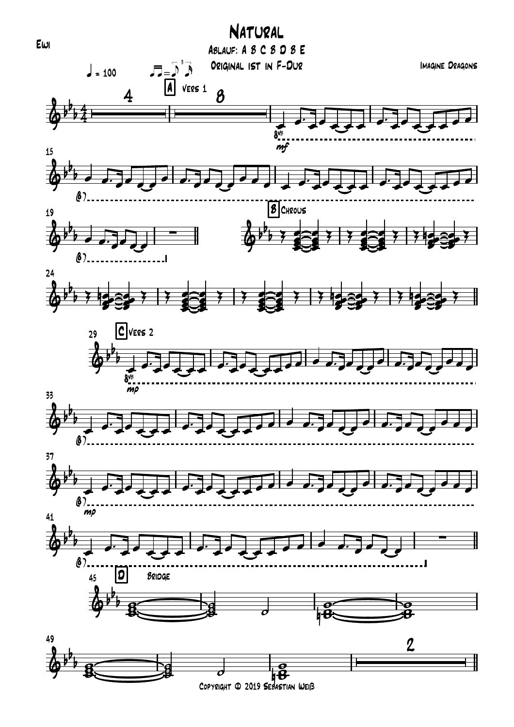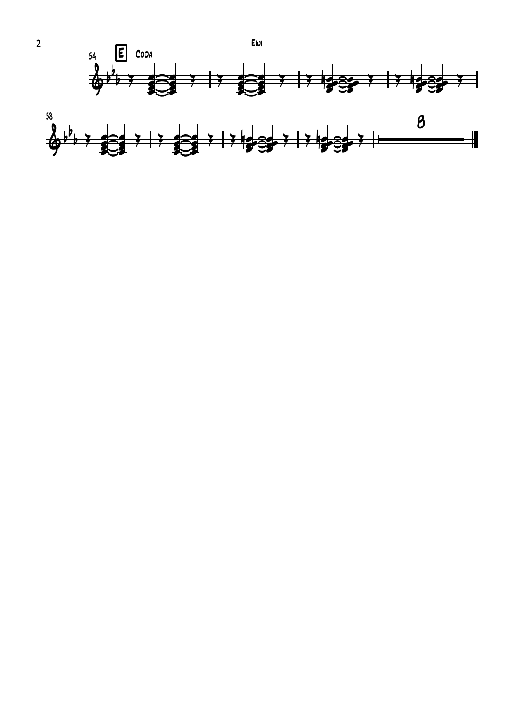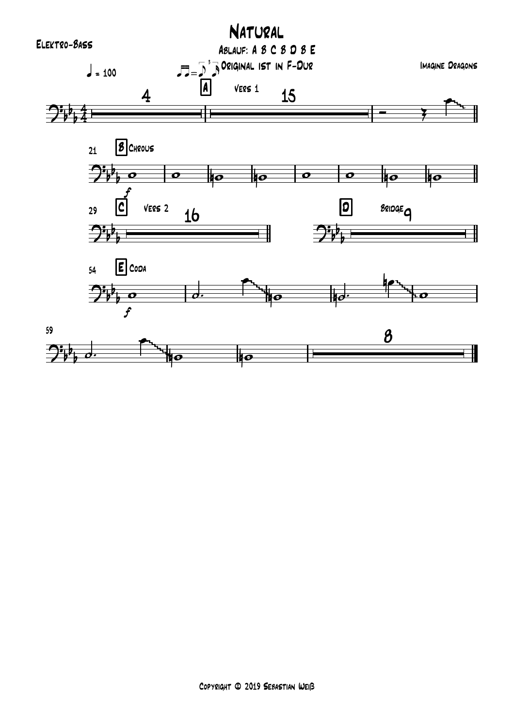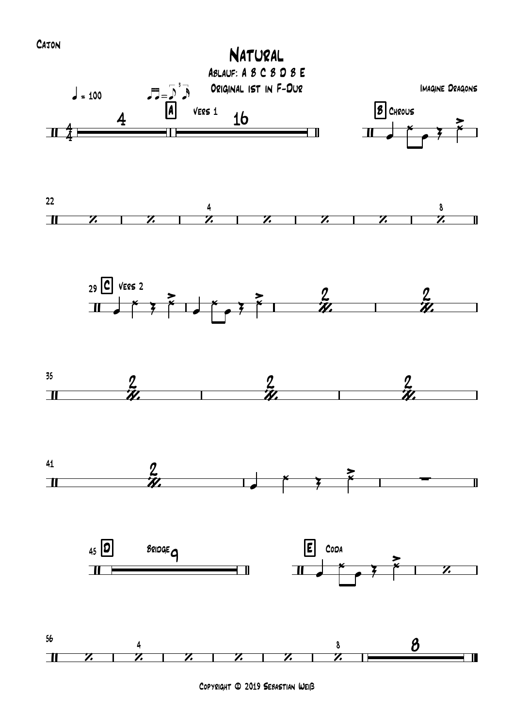CAJON



COPYRIGHT © 2019 SEBASTIAN WEIB